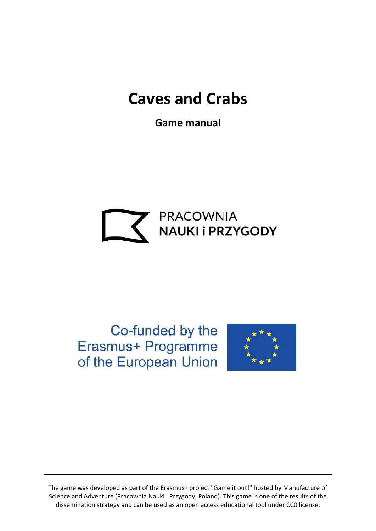# **Caves and Crabs**

**Game manual**



Co-funded by the Erasmus+ Programme of the European Union

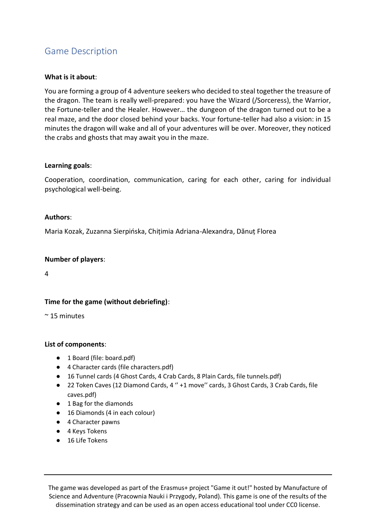# Game Description

#### **What is it about**:

You are forming a group of 4 adventure seekers who decided to steal together the treasure of the dragon. The team is really well-prepared: you have the Wizard (/Sorceress), the Warrior, the Fortune-teller and the Healer. However… the dungeon of the dragon turned out to be a real maze, and the door closed behind your backs. Your fortune-teller had also a vision: in 15 minutes the dragon will wake and all of your adventures will be over. Moreover, they noticed the crabs and ghosts that may await you in the maze.

#### **Learning goals**:

Cooperation, coordination, communication, caring for each other, caring for individual psychological well-being.

#### **Authors**:

Maria Kozak, Zuzanna Sierpińska, Chițimia Adriana-Alexandra, Dănuț Florea

#### **Number of players**:

4

#### **Time for the game (without debriefing)**:

 $~\sim$  15 minutes

#### **List of components**:

- 1 Board (file: board.pdf)
- 4 Character cards (file characters.pdf)
- 16 Tunnel cards (4 Ghost Cards, 4 Crab Cards, 8 Plain Cards, file tunnels.pdf)
- 22 Token Caves (12 Diamond Cards, 4 " +1 move" cards, 3 Ghost Cards, 3 Crab Cards, file caves.pdf)
- 1 Bag for the diamonds
- 16 Diamonds (4 in each colour)
- 4 Character pawns
- 4 Keys Tokens
- 16 Life Tokens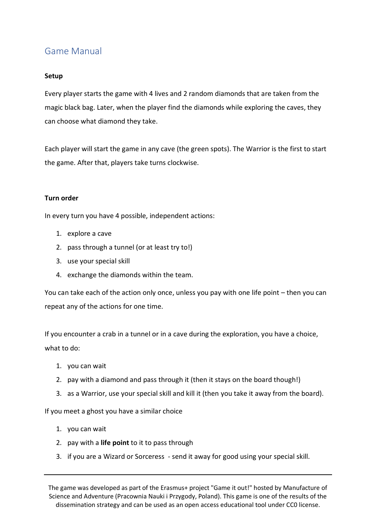# Game Manual

## **Setup**

Every player starts the game with 4 lives and 2 random diamonds that are taken from the magic black bag. Later, when the player find the diamonds while exploring the caves, they can choose what diamond they take.

Each player will start the game in any cave (the green spots). The Warrior is the first to start the game. After that, players take turns clockwise.

### **Turn order**

In every turn you have 4 possible, independent actions:

- 1. explore a cave
- 2. pass through a tunnel (or at least try to!)
- 3. use your special skill
- 4. exchange the diamonds within the team.

You can take each of the action only once, unless you pay with one life point – then you can repeat any of the actions for one time.

If you encounter a crab in a tunnel or in a cave during the exploration, you have a choice, what to do:

- 1. you can wait
- 2. pay with a diamond and pass through it (then it stays on the board though!)
- 3. as a Warrior, use your special skill and kill it (then you take it away from the board).

If you meet a ghost you have a similar choice

- 1. you can wait
- 2. pay with a **life point** to it to pass through
- 3. if you are a Wizard or Sorceress send it away for good using your special skill.

The game was developed as part of the Erasmus+ project "Game it out!" hosted by Manufacture of Science and Adventure (Pracownia Nauki i Przygody, Poland). This game is one of the results of the dissemination strategy and can be used as an open access educational tool under CC0 license.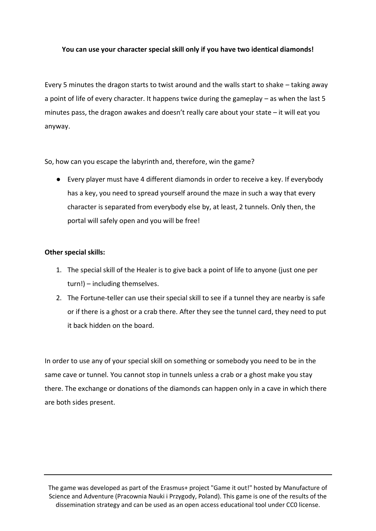#### **You can use your character special skill only if you have two identical diamonds!**

Every 5 minutes the dragon starts to twist around and the walls start to shake – taking away a point of life of every character. It happens twice during the gameplay – as when the last 5 minutes pass, the dragon awakes and doesn't really care about your state – it will eat you anyway.

So, how can you escape the labyrinth and, therefore, win the game?

● Every player must have 4 different diamonds in order to receive a key. If everybody has a key, you need to spread yourself around the maze in such a way that every character is separated from everybody else by, at least, 2 tunnels. Only then, the portal will safely open and you will be free!

#### **Other special skills:**

- 1. The special skill of the Healer is to give back a point of life to anyone (just one per turn!) – including themselves.
- 2. The Fortune-teller can use their special skill to see if a tunnel they are nearby is safe or if there is a ghost or a crab there. After they see the tunnel card, they need to put it back hidden on the board.

In order to use any of your special skill on something or somebody you need to be in the same cave or tunnel. You cannot stop in tunnels unless a crab or a ghost make you stay there. The exchange or donations of the diamonds can happen only in a cave in which there are both sides present.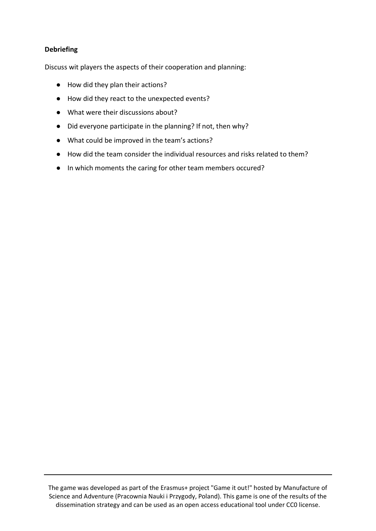## **Debriefing**

Discuss wit players the aspects of their cooperation and planning:

- How did they plan their actions?
- How did they react to the unexpected events?
- What were their discussions about?
- Did everyone participate in the planning? If not, then why?
- What could be improved in the team's actions?
- How did the team consider the individual resources and risks related to them?
- In which moments the caring for other team members occured?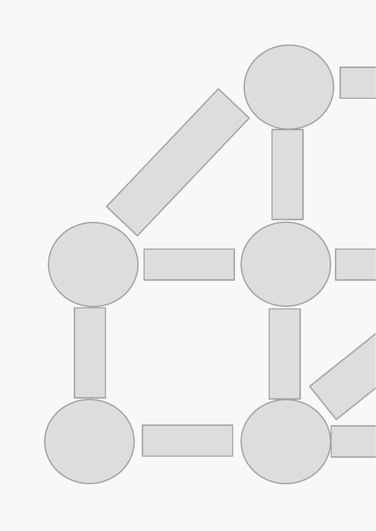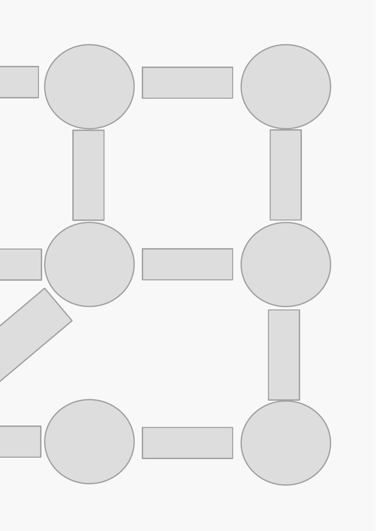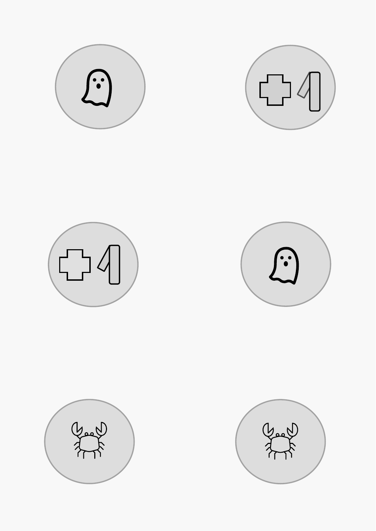









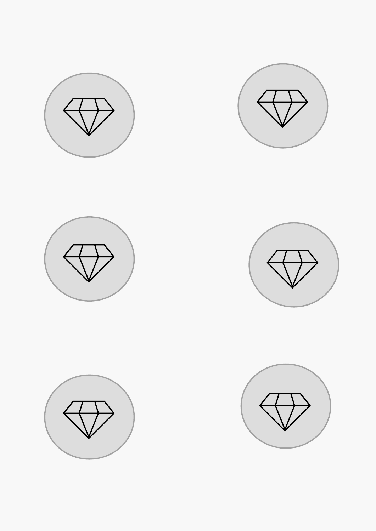









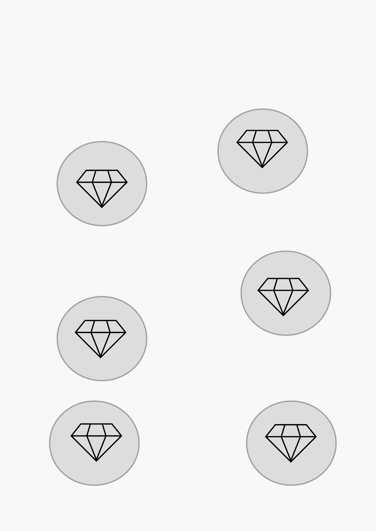









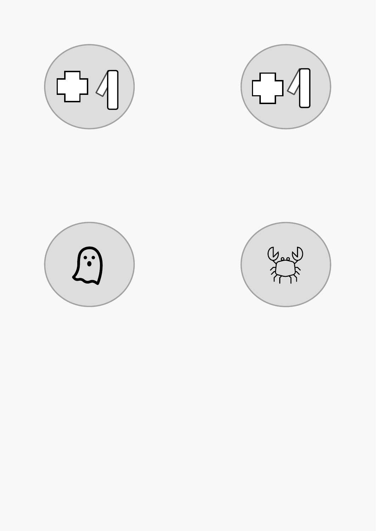





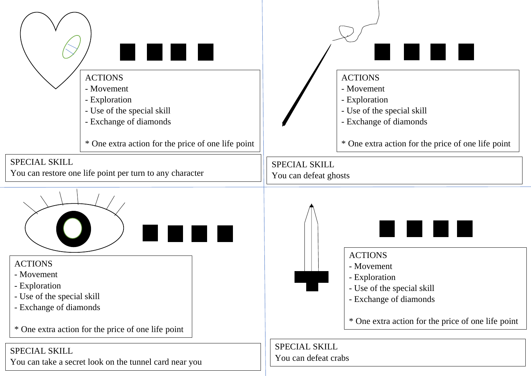